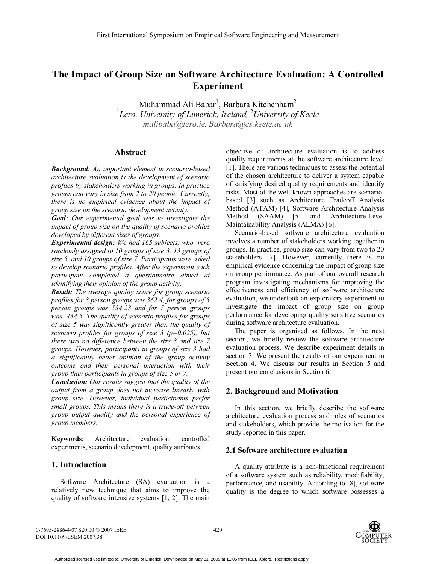# **The Impact of Group Size on Software Architecture Evaluation: A Controlled Experiment**

Muhammad Ali Babar<sup>1</sup>, Barbara Kitchenham<sup>2</sup> <sup>1</sup>Lero, University of Limerick, Ireland, <sup>2</sup>University of Keele *malibaba@lero.ie, Barbara@cs.keele.ac.uk*

# **Abstract**

*Background: An important element in scenario-based architecture evaluation is the development of scenario profiles by stakeholders working in groups. In practice groups can vary in size from 2 to 20 people. Currently, there is no empirical evidence about the impact of group size on the scenario development activity.* 

*Goal: Our experimental goal was to investigate the impact of group size on the quality of scenario profiles developed by different sizes of groups.* 

*Experimental design: We had 165 subjects, who were randomly assigned to 10 groups of size 3, 13 groups of size 5, and 10 groups of size 7. Participants were asked to develop scenario profiles. After the experiment each participant completed a questionnaire aimed at identifying their opinion of the group activity.* 

*Result: The average quality score for group scenario profiles for 3 person groups was 362.4, for groups of 5 person groups was 534.23 and for 7 person groups was. 444.5. The quality of scenario profiles for groups of size 5 was significantly greater than the quality of scenario profiles for groups of size 3 (p=0.025), but there was no difference between the size 3 and size 7 groups. However, participants in groups of size 3 had a significantly better opinion of the group activity outcome and their personal interaction with their group than participants in groups of size 5 or 7.* 

*Conclusion: Our results suggest that the quality of the output from a group does not increase linearly with group size. However, individual participants prefer small groups. This means there is a trade-off between group output quality and the personal experience of group members.* 

**Keywords:** Architecture evaluation, controlled experiments, scenario development, quality attributes.

# **1. Introduction**

Software Architecture (SA) evaluation is a relatively new technique that aims to improve the quality of software intensive systems [1, 2]. The main

objective of architecture evaluation is to address quality requirements at the software architecture level [1]. There are various techniques to assess the potential of the chosen architecture to deliver a system capable of satisfying desired quality requirements and identify risks. Most of the well-known approaches are scenariobased [3] such as Architecture Tradeoff Analysis Method (ATAM) [4], Software Architecture Analysis Method (SAAM) [5] and Architecture-Level Maintainability Analysis (ALMA) [6].

Scenario-based software architecture evaluation involves a number of stakeholders working together in groups. In practice, group size can vary from two to 20 stakeholders [7]. However, currently there is no empirical evidence concerning the impact of group size on group performance. As part of our overall research program investigating mechanisms for improving the effectiveness and efficiency of software architecture evaluation, we undertook an exploratory experiment to investigate the impact of group size on group performance for developing quality sensitive scenarios during software architecture evaluation.

The paper is organized as follows. In the next section, we briefly review the software architecture evaluation process. We describe experiment details in section 3. We present the results of our experiment in Section 4. We discuss our results in Section 5 and present our conclusions in Section 6.

# **2. Background and Motivation**

In this section, we briefly describe the software architecture evaluation process and roles of scenarios and stakeholders, which provide the motivation for the study reported in this paper.

# **2.1 Software architecture evaluation**

A quality attribute is a non-functional requirement of a software system such as reliability, modifiability, performance, and usability. According to [8], software quality is the degree to which software possesses a

0-7695-2886-4/07 \$20.00 © 2007 IEEE DOI 10.1109/ESEM.2007.38

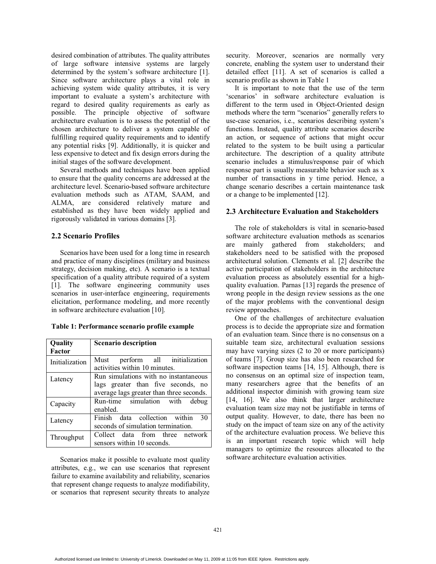desired combination of attributes. The quality attributes of large software intensive systems are largely determined by the system's software architecture [1]. Since software architecture plays a vital role in achieving system wide quality attributes, it is very important to evaluate a system's architecture with regard to desired quality requirements as early as possible. The principle objective of software architecture evaluation is to assess the potential of the chosen architecture to deliver a system capable of fulfilling required quality requirements and to identify any potential risks [9]. Additionally, it is quicker and less expensive to detect and fix design errors during the initial stages of the software development.

Several methods and techniques have been applied to ensure that the quality concerns are addressed at the architecture level. Scenario-based software architecture evaluation methods such as ATAM, SAAM, and ALMA, are considered relatively mature and established as they have been widely applied and rigorously validated in various domains [3].

### **2.2 Scenario Profiles**

Scenarios have been used for a long time in research and practice of many disciplines (military and business strategy, decision making, etc). A scenario is a textual specification of a quality attribute required of a system [1]. The software engineering community uses scenarios in user-interface engineering, requirements elicitation, performance modeling, and more recently in software architecture evaluation [10].

| Table 1: Performance scenario profile example |  |  |
|-----------------------------------------------|--|--|
|-----------------------------------------------|--|--|

| Quality<br>Factor | <b>Scenario description</b>                                                                                             |  |  |
|-------------------|-------------------------------------------------------------------------------------------------------------------------|--|--|
| Initialization    | Must perform all initialization<br>activities within 10 minutes.                                                        |  |  |
| Latency           | Run simulations with no instantaneous<br>lags greater than five seconds, no<br>average lags greater than three seconds. |  |  |
| Capacity          | Run-time simulation with debug<br>enabled.                                                                              |  |  |
| Latency           | Finish data collection within<br>30<br>seconds of simulation termination.                                               |  |  |
| Throughput        | Collect data from three network<br>sensors within 10 seconds.                                                           |  |  |

Scenarios make it possible to evaluate most quality attributes, e.g., we can use scenarios that represent failure to examine availability and reliability, scenarios that represent change requests to analyze modifiability, or scenarios that represent security threats to analyze security. Moreover, scenarios are normally very concrete, enabling the system user to understand their detailed effect [11]. A set of scenarios is called a scenario profile as shown in Table 1

It is important to note that the use of the term 'scenarios' in software architecture evaluation is different to the term used in Object-Oriented design methods where the term "scenarios" generally refers to use-case scenarios, i.e., scenarios describing system's functions. Instead, quality attribute scenarios describe an action, or sequence of actions that might occur related to the system to be built using a particular architecture. The description of a quality attribute scenario includes a stimulus/response pair of which response part is usually measurable behavior such as x number of transactions in y time period. Hence, a change scenario describes a certain maintenance task or a change to be implemented [12].

# **2.3 Architecture Evaluation and Stakeholders**

The role of stakeholders is vital in scenario-based software architecture evaluation methods as scenarios are mainly gathered from stakeholders; and stakeholders need to be satisfied with the proposed architectural solution. Clements et al. [2] describe the active participation of stakeholders in the architecture evaluation process as absolutely essential for a highquality evaluation. Parnas [13] regards the presence of wrong people in the design review sessions as the one of the major problems with the conventional design review approaches.

One of the challenges of architecture evaluation process is to decide the appropriate size and formation of an evaluation team. Since there is no consensus on a suitable team size, architectural evaluation sessions may have varying sizes (2 to 20 or more participants) of teams [7]. Group size has also been researched for software inspection teams [14, 15]. Although, there is no consensus on an optimal size of inspection team, many researchers agree that the benefits of an additional inspector diminish with growing team size [14, 16]. We also think that larger architecture evaluation team size may not be justifiable in terms of output quality. However, to date, there has been no study on the impact of team size on any of the activity of the architecture evaluation process. We believe this is an important research topic which will help managers to optimize the resources allocated to the software architecture evaluation activities.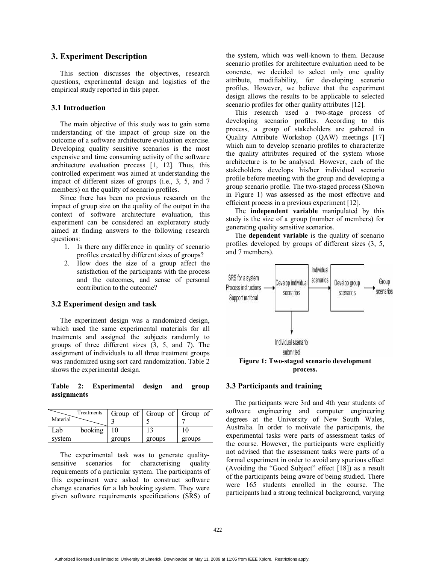# **3. Experiment Description**

This section discusses the objectives, research questions, experimental design and logistics of the empirical study reported in this paper.

# **3.1 Introduction**

The main objective of this study was to gain some understanding of the impact of group size on the outcome of a software architecture evaluation exercise. Developing quality sensitive scenarios is the most expensive and time consuming activity of the software architecture evaluation process [1, 12]. Thus, this controlled experiment was aimed at understanding the impact of different sizes of groups (i.e., 3, 5, and 7 members) on the quality of scenario profiles.

Since there has been no previous research on the impact of group size on the quality of the output in the context of software architecture evaluation, this experiment can be considered an exploratory study aimed at finding answers to the following research questions:

- 1. Is there any difference in quality of scenario profiles created by different sizes of groups?
- 2. How does the size of a group affect the satisfaction of the participants with the process and the outcomes, and sense of personal contribution to the outcome?

#### **3.2 Experiment design and task**

The experiment design was a randomized design, which used the same experimental materials for all treatments and assigned the subjects randomly to groups of three different sizes (3, 5, and 7). The assignment of individuals to all three treatment groups was randomized using sort card randomization. Table 2 shows the experimental design.

**Table 2: Experimental design and group assignments** 

|          | Treatments |        |        | Group of $\vert$ Group of $\vert$ Group of $\vert$ |
|----------|------------|--------|--------|----------------------------------------------------|
| Material |            |        |        |                                                    |
| Lab      | booking    | 10     | 13     |                                                    |
| system   |            | groups | groups | groups                                             |

The experimental task was to generate qualitysensitive scenarios for characterising quality requirements of a particular system. The participants of this experiment were asked to construct software change scenarios for a lab booking system. They were given software requirements specifications (SRS) of the system, which was well-known to them. Because scenario profiles for architecture evaluation need to be concrete, we decided to select only one quality attribute, modifiability, for developing scenario profiles. However, we believe that the experiment design allows the results to be applicable to selected scenario profiles for other quality attributes [12].

This research used a two-stage process of developing scenario profiles. According to this process, a group of stakeholders are gathered in Quality Attribute Workshop (QAW) meetings [17] which aim to develop scenario profiles to characterize the quality attributes required of the system whose architecture is to be analysed. However, each of the stakeholders develops his/her individual scenario profile before meeting with the group and developing a group scenario profile. The two-staged process (Shown in Figure 1) was assessed as the most effective and efficient process in a previous experiment [12].

The **independent variable** manipulated by this study is the size of a group (number of members) for generating quality sensitive scenarios.

The **dependent variable** is the quality of scenario profiles developed by groups of different sizes (3, 5, and 7 members).



#### **3.3 Participants and training**

The participants were 3rd and 4th year students of software engineering and computer engineering degrees at the University of New South Wales, Australia. In order to motivate the participants, the experimental tasks were parts of assessment tasks of the course. However, the participants were explicitly not advised that the assessment tasks were parts of a formal experiment in order to avoid any spurious effect (Avoiding the "Good Subject" effect [18]) as a result of the participants being aware of being studied. There were 165 students enrolled in the course. The participants had a strong technical background, varying

Authorized licensed use limited to: University of Limerick. Downloaded on May 11, 2009 at 11:05 from IEEE Xplore. Restrictions apply.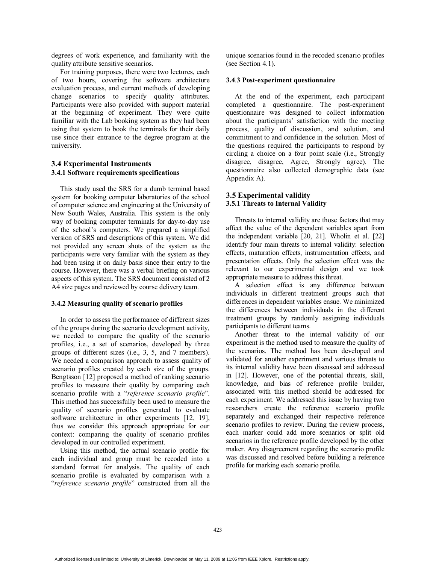degrees of work experience, and familiarity with the quality attribute sensitive scenarios.

For training purposes, there were two lectures, each of two hours, covering the software architecture evaluation process, and current methods of developing change scenarios to specify quality attributes. Participants were also provided with support material at the beginning of experiment. They were quite familiar with the Lab booking system as they had been using that system to book the terminals for their daily use since their entrance to the degree program at the university.

# **3.4 Experimental Instruments 3.4.1 Software requirements specifications**

This study used the SRS for a dumb terminal based system for booking computer laboratories of the school of computer science and engineering at the University of New South Wales, Australia. This system is the only way of booking computer terminals for day-to-day use of the school's computers. We prepared a simplified version of SRS and descriptions of this system. We did not provided any screen shots of the system as the participants were very familiar with the system as they had been using it on daily basis since their entry to the course. However, there was a verbal briefing on various aspects of this system. The SRS document consisted of 2 A4 size pages and reviewed by course delivery team.

#### **3.4.2 Measuring quality of scenario profiles**

In order to assess the performance of different sizes of the groups during the scenario development activity, we needed to compare the quality of the scenario profiles, i.e., a set of scenarios, developed by three groups of different sizes (i.e., 3, 5, and 7 members). We needed a comparison approach to assess quality of scenario profiles created by each size of the groups. Bengtsson [12] proposed a method of ranking scenario profiles to measure their quality by comparing each scenario profile with a "*reference scenario profile*". This method has successfully been used to measure the quality of scenario profiles generated to evaluate software architecture in other experiments [12, 19], thus we consider this approach appropriate for our context: comparing the quality of scenario profiles developed in our controlled experiment.

Using this method, the actual scenario profile for each individual and group must be recoded into a standard format for analysis. The quality of each scenario profile is evaluated by comparison with a "*reference scenario profile*" constructed from all the unique scenarios found in the recoded scenario profiles (see Section 4.1).

#### **3.4**.**3 Post-experiment questionnaire**

At the end of the experiment, each participant completed a questionnaire. The post-experiment questionnaire was designed to collect information about the participants' satisfaction with the meeting process, quality of discussion, and solution, and commitment to and confidence in the solution. Most of the questions required the participants to respond by circling a choice on a four point scale (i.e., Strongly disagree, disagree, Agree, Strongly agree). The questionnaire also collected demographic data (see Appendix A).

# **3.5 Experimental validity 3.5.1 Threats to Internal Validity**

Threats to internal validity are those factors that may affect the value of the dependent variables apart from the independent variable [20, 21]. Wholin et al. [22] identify four main threats to internal validity: selection effects, maturation effects, instrumentation effects, and presentation effects. Only the selection effect was the relevant to our experimental design and we took appropriate measure to address this threat.

A selection effect is any difference between individuals in different treatment groups such that differences in dependent variables ensue. We minimized the differences between individuals in the different treatment groups by randomly assigning individuals participants to different teams.

Another threat to the internal validity of our experiment is the method used to measure the quality of the scenarios. The method has been developed and validated for another experiment and various threats to its internal validity have been discussed and addressed in [12]. However, one of the potential threats, skill, knowledge, and bias of reference profile builder, associated with this method should be addressed for each experiment. We addressed this issue by having two researchers create the reference scenario profile separately and exchanged their respective reference scenario profiles to review. During the review process, each marker could add more scenarios or split old scenarios in the reference profile developed by the other maker. Any disagreement regarding the scenario profile was discussed and resolved before building a reference profile for marking each scenario profile.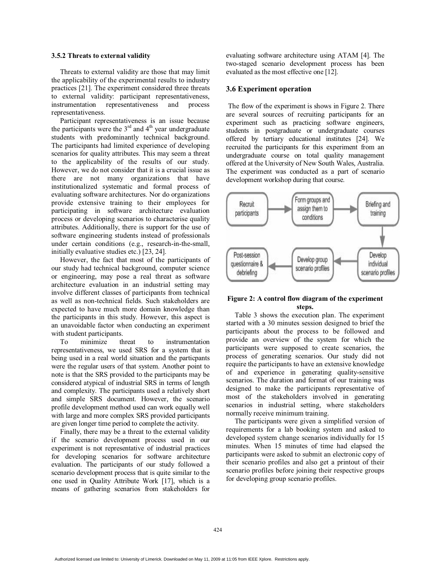#### **3.5.2 Threats to external validity**

Threats to external validity are those that may limit the applicability of the experimental results to industry practices [21]. The experiment considered three threats to external validity: participant representativeness, instrumentation representativeness and process representativeness.

Participant representativeness is an issue because the participants were the  $3<sup>rd</sup>$  and  $4<sup>th</sup>$  year undergraduate students with predominantly technical background. The participants had limited experience of developing scenarios for quality attributes. This may seem a threat to the applicability of the results of our study. However, we do not consider that it is a crucial issue as there are not many organizations that have institutionalized systematic and formal process of evaluating software architectures. Nor do organizations provide extensive training to their employees for participating in software architecture evaluation process or developing scenarios to characterise quality attributes. Additionally, there is support for the use of software engineering students instead of professionals under certain conditions (e.g., research-in-the-small, initially evaluative studies etc.) [23, 24].

However, the fact that most of the participants of our study had technical background, computer science or engineering, may pose a real threat as software architecture evaluation in an industrial setting may involve different classes of participants from technical as well as non-technical fields. Such stakeholders are expected to have much more domain knowledge than the participants in this study. However, this aspect is an unavoidable factor when conducting an experiment with student participants.

To minimize threat to instrumentation representativeness, we used SRS for a system that is being used in a real world situation and the particpants were the regular users of that system. Another point to note is that the SRS provided to the participants may be considered atypical of industrial SRS in terms of length and complexity. The participants used a relatively short and simple SRS document. However, the scenario profile development method used can work equally well with large and more complex SRS provided participants are given longer time period to complete the activity.

Finally, there may be a threat to the external validity if the scenario development process used in our experiment is not representative of industrial practices for developing scenarios for software architecture evaluation. The participants of our study followed a scenario development process that is quite similar to the one used in Quality Attribute Work [17], which is a means of gathering scenarios from stakeholders for evaluating software architecture using ATAM [4]. The two-staged scenario development process has been evaluated as the most effective one [12].

#### **3.6 Experiment operation**

The flow of the experiment is shows in Figure 2. There are several sources of recruiting participants for an experiment such as practicing software engineers, students in postgraduate or undergraduate courses offered by tertiary educational institutes [24]. We recruited the participants for this experiment from an undergraduate course on total quality management offered at the University of New South Wales, Australia. The experiment was conducted as a part of scenario development workshop during that course.



#### **Figure 2: A control flow diagram of the experiment steps.**

Table 3 shows the execution plan. The experiment started with a 30 minutes session designed to brief the participants about the process to be followed and provide an overview of the system for which the participants were supposed to create scenarios, the process of generating scenarios. Our study did not require the participants to have an extensive knowledge of and experience in generating quality-sensitive scenarios. The duration and format of our training was designed to make the participants representative of most of the stakeholders involved in generating scenarios in industrial setting, where stakeholders normally receive minimum training.

The participants were given a simplified version of requirements for a lab booking system and asked to developed system change scenarios individually for 15 minutes. When 15 minutes of time had elapsed the participants were asked to submit an electronic copy of their scenario profiles and also get a printout of their scenario profiles before joining their respective groups for developing group scenario profiles.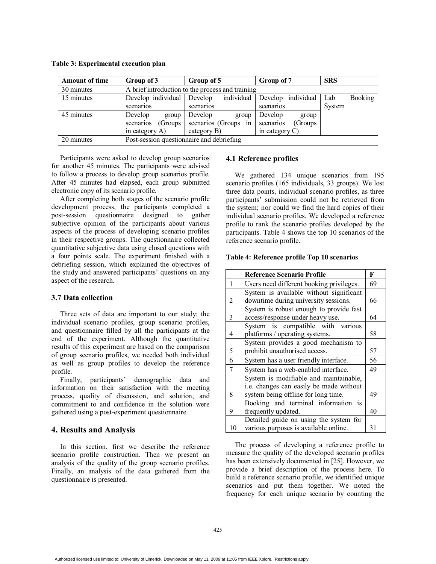**Table 3: Experimental execution plan** 

| <b>Amount of time</b> | Group of 3                                | Group of 5                                       | Group of 7            | <b>SRS</b>            |
|-----------------------|-------------------------------------------|--------------------------------------------------|-----------------------|-----------------------|
| 30 minutes            |                                           | A brief introduction to the process and training |                       |                       |
| 15 minutes            | Develop individual                        | individual<br>Develop                            | individual<br>Develop | <b>Booking</b><br>Lab |
|                       | scenarios                                 | scenarios                                        | scenarios             | System                |
| 45 minutes            | Develop<br>group                          | Develop<br>group                                 | Develop<br>group      |                       |
|                       | (Groups)<br>scenarios                     | scenarios (Groups<br>in                          | scenarios<br>(Groups) |                       |
|                       | in category $A$ )                         | category B)                                      | in category $C$ )     |                       |
| 20 minutes            | Post-session questionnaire and debriefing |                                                  |                       |                       |

Participants were asked to develop group scenarios for another 45 minutes. The participants were advised to follow a process to develop group scenarios profile. After 45 minutes had elapsed, each group submitted electronic copy of its scenario profile.

After completing both stages of the scenario profile development process, the participants completed a<br>post-session questionnaire designed to gather post-session questionnaire designed subjective opinion of the participants about various aspects of the process of developing scenario profiles in their respective groups. The questionnaire collected quantitative subjective data using closed questions with a four points scale. The experiment finished with a debriefing session, which explained the objectives of the study and answered participants' questions on any aspect of the research.

# **3.7 Data collection**

Three sets of data are important to our study; the individual scenario profiles, group scenario profiles, and questionnaire filled by all the participants at the end of the experiment. Although the quantitative results of this experiment are based on the comparison of group scenario profiles, we needed both individual as well as group profiles to develop the reference profile.

Finally, participants' demographic data and information on their satisfaction with the meeting process, quality of discussion, and solution, and commitment to and confidence in the solution were gathered using a post-experiment questionnaire.

### **4. Results and Analysis**

In this section, first we describe the reference scenario profile construction. Then we present an analysis of the quality of the group scenario profiles. Finally, an analysis of the data gathered from the questionnaire is presented.

### **4.1 Reference profiles**

We gathered 134 unique scenarios from 195 scenario profiles (165 individuals, 33 groups). We lost three data points, individual scenario profiles, as three participants' submission could not be retrieved from the system; nor could we find the hard copies of their individual scenario profiles. We developed a reference profile to rank the scenario profiles developed by the participants. Table 4 shows the top 10 scenarios of the reference scenario profile.

#### **Table 4: Reference profile Top 10 scenarios**

|    | <b>Reference Scenario Profile</b>        | F  |
|----|------------------------------------------|----|
| 1  | Users need different booking privileges. | 69 |
|    | System is available without significant  |    |
| 2  | downtime during university sessions.     | 66 |
|    | System is robust enough to provide fast  |    |
| 3  | access/response under heavy use.         | 64 |
|    | System is compatible with various        |    |
| 4  | platforms / operating systems.           | 58 |
|    | System provides a good mechanism to      |    |
| 5  | prohibit unauthorised access.            | 57 |
| 6  | System has a user friendly interface.    | 56 |
| 7  | System has a web-enabled interface.      | 49 |
|    | System is modifiable and maintainable,   |    |
|    | i.e. changes can easily be made without  |    |
| 8  | system being offline for long time.      | 49 |
|    | Booking and terminal information is      |    |
| 9  | frequently updated.                      | 40 |
|    | Detailed guide on using the system for   |    |
| 10 | various purposes is available online.    | 31 |

The process of developing a reference profile to measure the quality of the developed scenario profiles has been extensively documented in [25]. However, we provide a brief description of the process here. To build a reference scenario profile, we identified unique scenarios and put them together. We noted the frequency for each unique scenario by counting the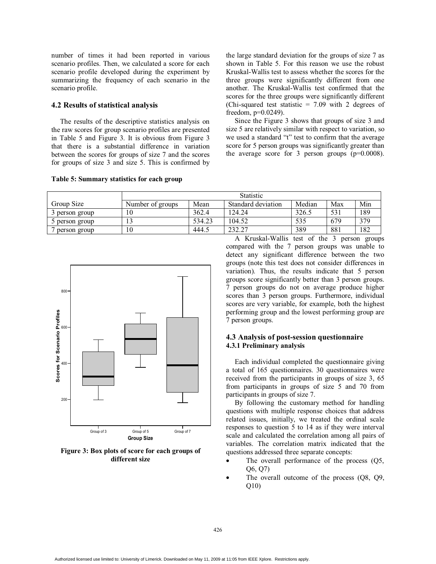number of times it had been reported in various scenario profiles. Then, we calculated a score for each scenario profile developed during the experiment by summarizing the frequency of each scenario in the scenario profile.

# **4.2 Results of statistical analysis**

The results of the descriptive statistics analysis on the raw scores for group scenario profiles are presented in Table 5 and Figure 3. It is obvious from Figure 3 that there is a substantial difference in variation between the scores for groups of size 7 and the scores for groups of size 3 and size 5. This is confirmed by

#### **Table 5: Summary statistics for each group**

the large standard deviation for the groups of size 7 as shown in Table 5. For this reason we use the robust Kruskal-Wallis test to assess whether the scores for the three groups were significantly different from one another. The Kruskal-Wallis test confirmed that the scores for the three groups were significantly different (Chi-squared test statistic  $= 7.09$  with 2 degrees of freedom, p=0.0249).

Since the Figure 3 shows that groups of size 3 and size 5 are relatively similar with respect to variation, so we used a standard "t" test to confirm that the average score for 5 person groups was significantly greater than the average score for 3 person groups  $(p=0.0008)$ .

|                | <b>Statistic</b> |        |                    |        |     |     |
|----------------|------------------|--------|--------------------|--------|-----|-----|
| Group Size     | Number of groups | Mean   | Standard deviation | Median | Max | Min |
| 3 person group | 10               | 362.4  | 124.24             | 326.5  | 531 | 189 |
| 5 person group | 13               | 534.23 | 104.52             | 535    | 679 | 379 |
| person group   | 10               | 444.5  | 232.27             | 389    | 881 | 182 |



**Figure 3: Box plots of score for each groups of different size** 

A Kruskal-Wallis test of the 3 person groups compared with the 7 person groups was unable to detect any significant difference between the two groups (note this test does not consider differences in variation). Thus, the results indicate that 5 person groups score significantly better than 3 person groups. 7 person groups do not on average produce higher scores than 3 person groups. Furthermore, individual scores are very variable, for example, both the highest performing group and the lowest performing group are 7 person groups.

# **4.3 Analysis of post-session questionnaire 4.3.1 Preliminary analysis**

Each individual completed the questionnaire giving a total of 165 questionnaires. 30 questionnaires were received from the participants in groups of size 3, 65 from participants in groups of size 5 and 70 from participants in groups of size 7.

By following the customary method for handling questions with multiple response choices that address related issues, initially, we treated the ordinal scale responses to question 5 to 14 as if they were interval scale and calculated the correlation among all pairs of variables. The correlation matrix indicated that the questions addressed three separate concepts:

- The overall performance of the process (Q5, Q6, Q7)
- The overall outcome of the process  $(Q8, Q9,$ Q10)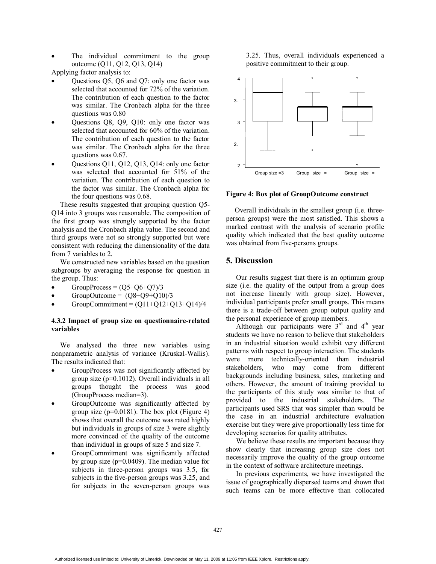The individual commitment to the group outcome (Q11, Q12, Q13, Q14)

Applying factor analysis to:

- Questions Q5, Q6 and Q7: only one factor was selected that accounted for 72% of the variation. The contribution of each question to the factor was similar. The Cronbach alpha for the three questions was 0.80
- Questions Q8, Q9, Q10: only one factor was selected that accounted for 60% of the variation. The contribution of each question to the factor was similar. The Cronbach alpha for the three questions was 0.67.
- Questions Q11, Q12, Q13, Q14: only one factor was selected that accounted for 51% of the variation. The contribution of each question to the factor was similar. The Cronbach alpha for the four questions was 0.68.

These results suggested that grouping question Q5- Q14 into 3 groups was reasonable. The composition of the first group was strongly supported by the factor analysis and the Cronbach alpha value. The second and third groups were not so strongly supported but were consistent with reducing the dimensionality of the data from 7 variables to 2.

We constructed new variables based on the question subgroups by averaging the response for question in the group. Thus:

- $GroupProcess = (Q5+Q6+Q7)/3$
- GroupOutcome =  $(Q8+Q9+Q10)/3$
- GroupCommitment =  $(011+012+013+014)/4$

### **4.3.2 Impact of group size on questionnaire-related variables**

We analysed the three new variables using nonparametric analysis of variance (Kruskal-Wallis). The results indicated that:

- GroupProcess was not significantly affected by group size (p=0.1012). Overall individuals in all groups thought the process was good (GroupProcess median=3).
- GroupOutcome was significantly affected by group size  $(p=0.0181)$ . The box plot (Figure 4) shows that overall the outcome was rated highly but individuals in groups of size 3 were slightly more convinced of the quality of the outcome than individual in groups of size 5 and size 7.
- GroupCommitment was significantly affected by group size (p=0.0409). The median value for subjects in three-person groups was 3.5, for subjects in the five-person groups was 3.25, and for subjects in the seven-person groups was

3.25. Thus, overall individuals experienced a positive commitment to their group.



**Figure 4: Box plot of GroupOutcome construct** 

Overall individuals in the smallest group (i.e. threeperson groups) were the most satisfied. This shows a marked contrast with the analysis of scenario profile quality which indicated that the best quality outcome was obtained from five-persons groups.

# **5. Discussion**

Our results suggest that there is an optimum group size (i.e. the quality of the output from a group does not increase linearly with group size). However, individual participants prefer small groups. This means there is a trade-off between group output quality and the personal experience of group members.

Although our participants were  $3<sup>rd</sup>$  and  $4<sup>th</sup>$  year students we have no reason to believe that stakeholders in an industrial situation would exhibit very different patterns with respect to group interaction. The students were more technically-oriented than industrial stakeholders, who may come from different backgrounds including business, sales, marketing and others. However, the amount of training provided to the participants of this study was similar to that of provided to the industrial stakeholders. The participants used SRS that was simpler than would be the case in an industrial architecture evaluation exercise but they were give proportionally less time for developing scenarios for quality attributes.

We believe these results are important because they show clearly that increasing group size does not necessarily improve the quality of the group outcome in the context of software architecture meetings.

In previous experiments, we have investigated the issue of geographically dispersed teams and shown that such teams can be more effective than collocated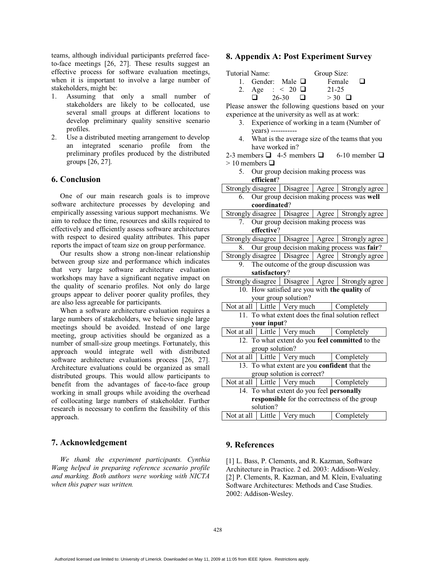teams, although individual participants preferred faceto-face meetings [26, 27]. These results suggest an effective process for software evaluation meetings, when it is important to involve a large number of stakeholders, might be:

- 1. Assuming that only a small number of stakeholders are likely to be collocated, use several small groups at different locations to develop preliminary quality sensitive scenario profiles.
- 2. Use a distributed meeting arrangement to develop an integrated scenario profile from the preliminary profiles produced by the distributed groups [26, 27].

# **6. Conclusion**

One of our main research goals is to improve software architecture processes by developing and empirically assessing various support mechanisms. We aim to reduce the time, resources and skills required to effectively and efficiently assess software architectures with respect to desired quality attributes. This paper reports the impact of team size on group performance.

Our results show a strong non-linear relationship between group size and performance which indicates that very large software architecture evaluation workshops may have a significant negative impact on the quality of scenario profiles. Not only do large groups appear to deliver poorer quality profiles, they are also less agreeable for participants.

When a software architecture evaluation requires a large numbers of stakeholders, we believe single large meetings should be avoided. Instead of one large meeting, group activities should be organized as a number of small-size group meetings. Fortunately, this approach would integrate well with distributed software architecture evaluations process [26, 27]. Architecture evaluations could be organized as small distributed groups. This would allow participants to benefit from the advantages of face-to-face group working in small groups while avoiding the overhead of collocating large numbers of stakeholder. Further research is necessary to confirm the feasibility of this approach.

### **7. Acknowledgement**

*We thank the experiment participants. Cynthia Wang helped in preparing reference scenario profile and marking. Both authors were working with NICTA when this paper was written.* 

# **8. Appendix A: Post Experiment Survey**

| Tutorial Name: |     |                        | Group Size:   |  |
|----------------|-----|------------------------|---------------|--|
|                |     | 1. Gender: Male $\Box$ | Female        |  |
|                |     | 2. Age : < 20 $\Box$   | 21-25         |  |
|                | I L | 26-30                  | $>$ 30 $\Box$ |  |

Please answer the following questions based on your experience at the university as well as at work:

- 3. Experience of working in a team (Number of years) -----------
- 4. What is the average size of the teams that you have worked in?

2-3 members  $\Box$  4-5 members  $\Box$  6-10 member  $\Box$  $> 10$  members  $\Box$ 

5. Our group decision making process was **efficient**?

|                                               |                                                    |                                                             |            | Strongly disagree   Disagree   Agree   Strongly agree |  |
|-----------------------------------------------|----------------------------------------------------|-------------------------------------------------------------|------------|-------------------------------------------------------|--|
| 6.                                            |                                                    | Our group decision making process was well                  |            |                                                       |  |
| coordinated?                                  |                                                    |                                                             |            |                                                       |  |
|                                               |                                                    |                                                             |            | Strongly disagree   Disagree   Agree   Strongly agree |  |
| $7_{\scriptscriptstyle{\sim}}$                |                                                    | Our group decision making process was                       |            |                                                       |  |
|                                               | effective?                                         |                                                             |            |                                                       |  |
|                                               |                                                    |                                                             |            | Strongly disagree   Disagree   Agree   Strongly agree |  |
| 8.                                            |                                                    |                                                             |            | Our group decision making process was fair?           |  |
|                                               |                                                    |                                                             |            | Strongly disagree   Disagree   Agree   Strongly agree |  |
| 9.                                            |                                                    |                                                             |            | The outcome of the group discussion was               |  |
|                                               | satisfactory?                                      |                                                             |            |                                                       |  |
|                                               |                                                    |                                                             |            | Strongly disagree   Disagree   Agree   Strongly agree |  |
|                                               |                                                    |                                                             |            | 10. How satisfied are you with the quality of         |  |
|                                               |                                                    | your group solution?                                        |            |                                                       |  |
|                                               |                                                    | Not at all   Little   Very much<br>Completely               |            |                                                       |  |
|                                               | 11. To what extent does the final solution reflect |                                                             |            |                                                       |  |
|                                               | your input?                                        |                                                             |            |                                                       |  |
|                                               |                                                    | Not at all $\vert$ Little $\vert$ Very much                 |            | Completely                                            |  |
|                                               |                                                    |                                                             |            | 12. To what extent do you feel committed to the       |  |
|                                               | group solution?                                    |                                                             |            |                                                       |  |
|                                               |                                                    | Not at all $\vert$ Little $\vert$ Very much<br>Completely   |            |                                                       |  |
| 13. To what extent are you confident that the |                                                    |                                                             |            |                                                       |  |
| group solution is correct?                    |                                                    |                                                             |            |                                                       |  |
|                                               |                                                    | Not at all $\vert$ Little $\vert$ Very much<br>  Completely |            |                                                       |  |
| 14. To what extent do you feel personally     |                                                    |                                                             |            |                                                       |  |
| responsible for the correctness of the group  |                                                    |                                                             |            |                                                       |  |
| solution?                                     |                                                    |                                                             |            |                                                       |  |
| Not at all $\vert$ Little                     |                                                    | Very much                                                   | Completely |                                                       |  |

# **9. References**

[1] L. Bass, P. Clements, and R. Kazman, Software Architecture in Practice. 2 ed. 2003: Addison-Wesley. [2] P. Clements, R. Kazman, and M. Klein, Evaluating Software Architectures: Methods and Case Studies. 2002: Addison-Wesley.